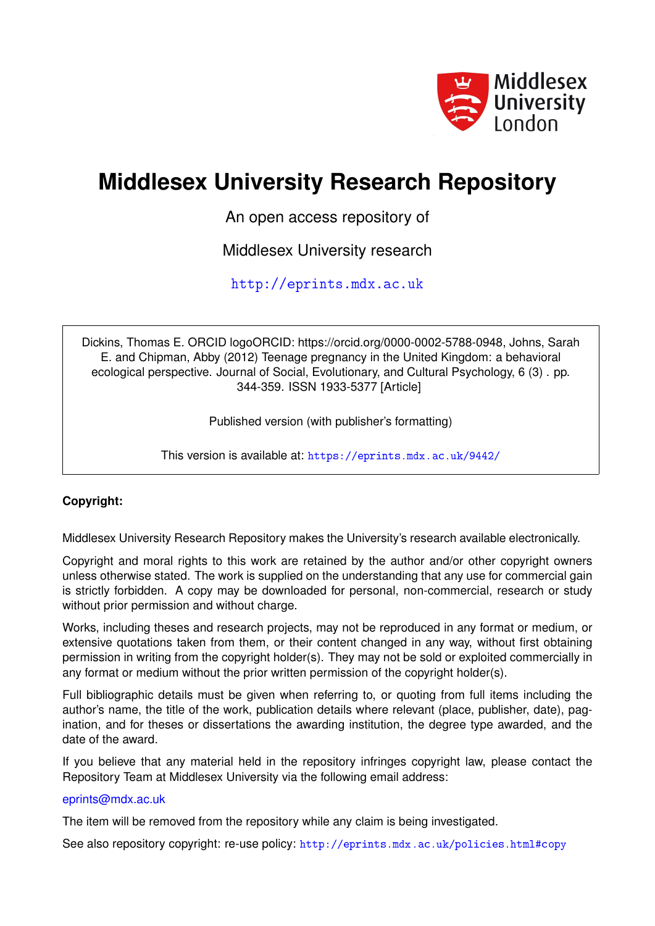

# **Middlesex University Research Repository**

An open access repository of

Middlesex University research

<http://eprints.mdx.ac.uk>

Dickins, Thomas E. ORCID logoORCID: https://orcid.org/0000-0002-5788-0948, Johns, Sarah E. and Chipman, Abby (2012) Teenage pregnancy in the United Kingdom: a behavioral ecological perspective. Journal of Social, Evolutionary, and Cultural Psychology, 6 (3) . pp. 344-359. ISSN 1933-5377 [Article]

Published version (with publisher's formatting)

This version is available at: <https://eprints.mdx.ac.uk/9442/>

# **Copyright:**

Middlesex University Research Repository makes the University's research available electronically.

Copyright and moral rights to this work are retained by the author and/or other copyright owners unless otherwise stated. The work is supplied on the understanding that any use for commercial gain is strictly forbidden. A copy may be downloaded for personal, non-commercial, research or study without prior permission and without charge.

Works, including theses and research projects, may not be reproduced in any format or medium, or extensive quotations taken from them, or their content changed in any way, without first obtaining permission in writing from the copyright holder(s). They may not be sold or exploited commercially in any format or medium without the prior written permission of the copyright holder(s).

Full bibliographic details must be given when referring to, or quoting from full items including the author's name, the title of the work, publication details where relevant (place, publisher, date), pagination, and for theses or dissertations the awarding institution, the degree type awarded, and the date of the award.

If you believe that any material held in the repository infringes copyright law, please contact the Repository Team at Middlesex University via the following email address:

# [eprints@mdx.ac.uk](mailto:eprints@mdx.ac.uk)

The item will be removed from the repository while any claim is being investigated.

See also repository copyright: re-use policy: <http://eprints.mdx.ac.uk/policies.html#copy>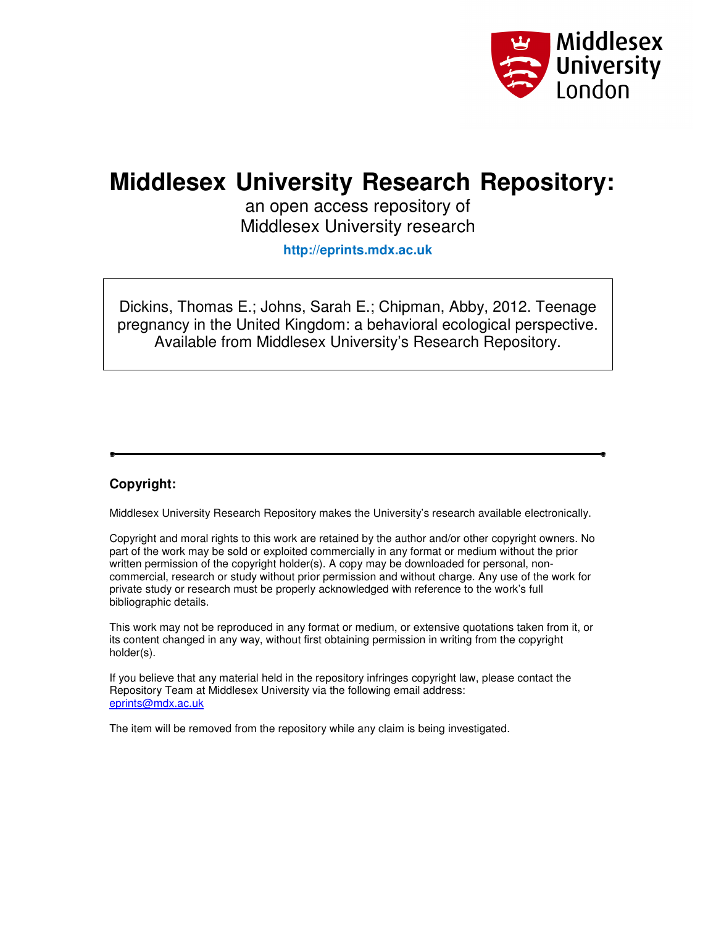

# **Middlesex University Research Repository:**

an open access repository of Middlesex University research

**http://eprints.mdx.ac.uk** 

Dickins, Thomas E.; Johns, Sarah E.; Chipman, Abby, 2012. Teenage pregnancy in the United Kingdom: a behavioral ecological perspective. Available from Middlesex University's Research Repository.

# **Copyright:**

Middlesex University Research Repository makes the University's research available electronically.

Copyright and moral rights to this work are retained by the author and/or other copyright owners. No part of the work may be sold or exploited commercially in any format or medium without the prior written permission of the copyright holder(s). A copy may be downloaded for personal, noncommercial, research or study without prior permission and without charge. Any use of the work for private study or research must be properly acknowledged with reference to the work's full bibliographic details.

This work may not be reproduced in any format or medium, or extensive quotations taken from it, or its content changed in any way, without first obtaining permission in writing from the copyright holder(s).

If you believe that any material held in the repository infringes copyright law, please contact the Repository Team at Middlesex University via the following email address: eprints@mdx.ac.uk

The item will be removed from the repository while any claim is being investigated.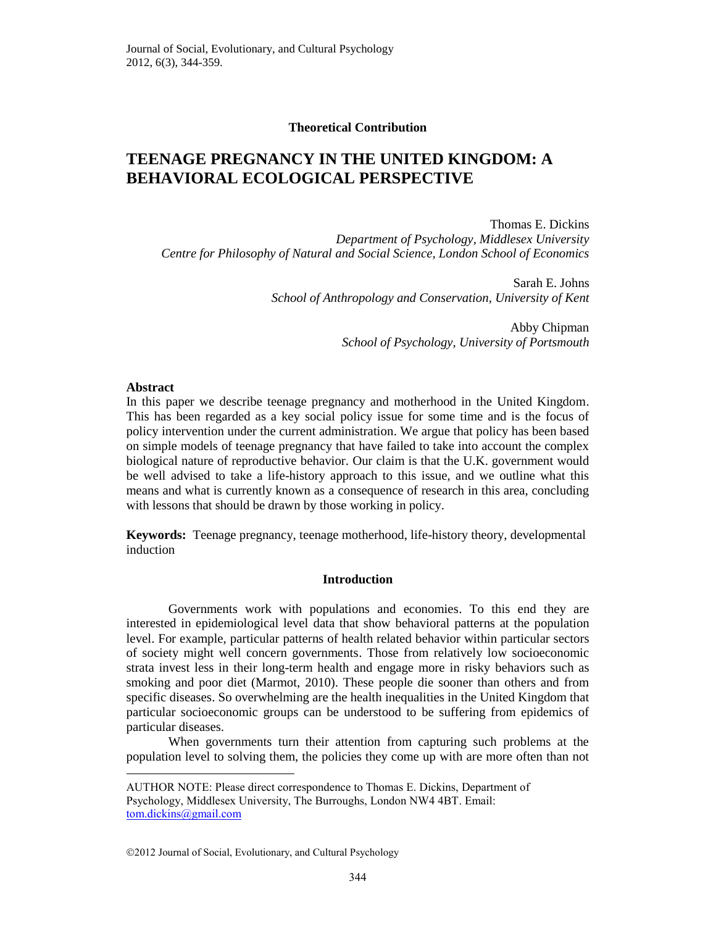#### **Theoretical Contribution**

# **TEENAGE PREGNANCY IN THE UNITED KINGDOM: A BEHAVIORAL ECOLOGICAL PERSPECTIVE**

Thomas E. Dickins *Department of Psychology, Middlesex University Centre for Philosophy of Natural and Social Science, London School of Economics*

> Sarah E. Johns *School of Anthropology and Conservation, University of Kent*

> > Abby Chipman *School of Psychology, University of Portsmouth*

## **Abstract**

 $\overline{a}$ 

In this paper we describe teenage pregnancy and motherhood in the United Kingdom. This has been regarded as a key social policy issue for some time and is the focus of policy intervention under the current administration. We argue that policy has been based on simple models of teenage pregnancy that have failed to take into account the complex biological nature of reproductive behavior. Our claim is that the U.K. government would be well advised to take a life-history approach to this issue, and we outline what this means and what is currently known as a consequence of research in this area, concluding with lessons that should be drawn by those working in policy.

**Keywords:** Teenage pregnancy, teenage motherhood, life-history theory, developmental induction

## **Introduction**

Governments work with populations and economies. To this end they are interested in epidemiological level data that show behavioral patterns at the population level. For example, particular patterns of health related behavior within particular sectors of society might well concern governments. Those from relatively low socioeconomic strata invest less in their long-term health and engage more in risky behaviors such as smoking and poor diet (Marmot, 2010). These people die sooner than others and from specific diseases. So overwhelming are the health inequalities in the United Kingdom that particular socioeconomic groups can be understood to be suffering from epidemics of particular diseases.

When governments turn their attention from capturing such problems at the population level to solving them, the policies they come up with are more often than not

AUTHOR NOTE: Please direct correspondence to Thomas E. Dickins, Department of Psychology, Middlesex University, The Burroughs, London NW4 4BT. Email: [tom.dickins@gmail.com](mailto:tom.dickins@gmail.com)

<sup>2012</sup> Journal of Social, Evolutionary, and Cultural Psychology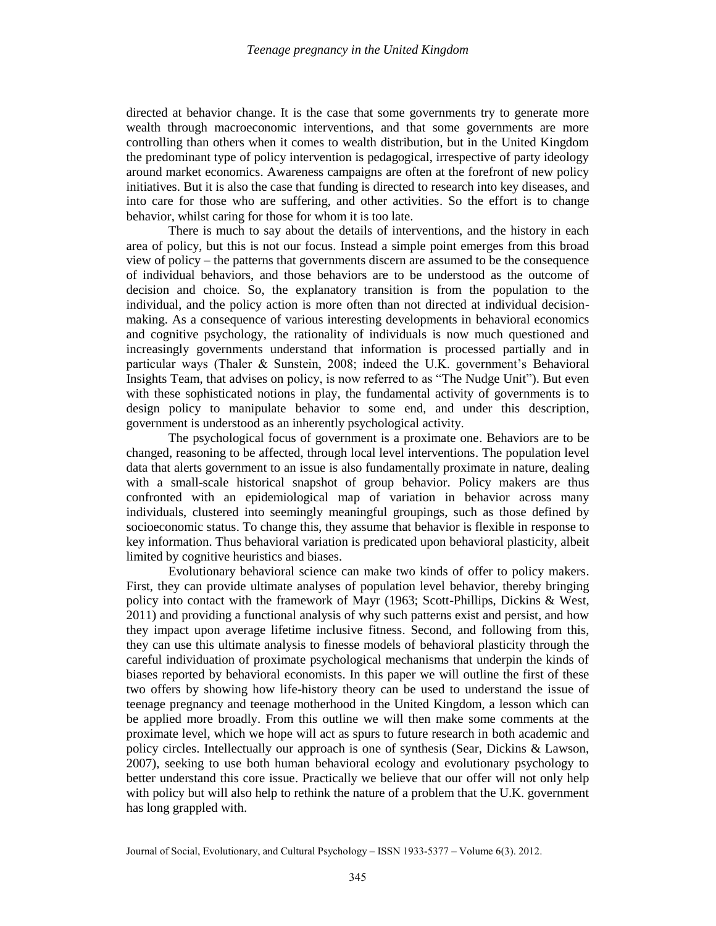directed at behavior change. It is the case that some governments try to generate more wealth through macroeconomic interventions, and that some governments are more controlling than others when it comes to wealth distribution, but in the United Kingdom the predominant type of policy intervention is pedagogical, irrespective of party ideology around market economics. Awareness campaigns are often at the forefront of new policy initiatives. But it is also the case that funding is directed to research into key diseases, and into care for those who are suffering, and other activities. So the effort is to change behavior, whilst caring for those for whom it is too late.

There is much to say about the details of interventions, and the history in each area of policy, but this is not our focus. Instead a simple point emerges from this broad view of policy – the patterns that governments discern are assumed to be the consequence of individual behaviors, and those behaviors are to be understood as the outcome of decision and choice. So, the explanatory transition is from the population to the individual, and the policy action is more often than not directed at individual decisionmaking. As a consequence of various interesting developments in behavioral economics and cognitive psychology, the rationality of individuals is now much questioned and increasingly governments understand that information is processed partially and in particular ways (Thaler & Sunstein, 2008; indeed the U.K. government's Behavioral Insights Team, that advises on policy, is now referred to as "The Nudge Unit"). But even with these sophisticated notions in play, the fundamental activity of governments is to design policy to manipulate behavior to some end, and under this description, government is understood as an inherently psychological activity.

The psychological focus of government is a proximate one. Behaviors are to be changed, reasoning to be affected, through local level interventions. The population level data that alerts government to an issue is also fundamentally proximate in nature, dealing with a small-scale historical snapshot of group behavior. Policy makers are thus confronted with an epidemiological map of variation in behavior across many individuals, clustered into seemingly meaningful groupings, such as those defined by socioeconomic status. To change this, they assume that behavior is flexible in response to key information. Thus behavioral variation is predicated upon behavioral plasticity, albeit limited by cognitive heuristics and biases.

Evolutionary behavioral science can make two kinds of offer to policy makers. First, they can provide ultimate analyses of population level behavior, thereby bringing policy into contact with the framework of Mayr (1963; Scott-Phillips, Dickins & West, 2011) and providing a functional analysis of why such patterns exist and persist, and how they impact upon average lifetime inclusive fitness. Second, and following from this, they can use this ultimate analysis to finesse models of behavioral plasticity through the careful individuation of proximate psychological mechanisms that underpin the kinds of biases reported by behavioral economists. In this paper we will outline the first of these two offers by showing how life-history theory can be used to understand the issue of teenage pregnancy and teenage motherhood in the United Kingdom, a lesson which can be applied more broadly. From this outline we will then make some comments at the proximate level, which we hope will act as spurs to future research in both academic and policy circles. Intellectually our approach is one of synthesis (Sear, Dickins & Lawson, 2007), seeking to use both human behavioral ecology and evolutionary psychology to better understand this core issue. Practically we believe that our offer will not only help with policy but will also help to rethink the nature of a problem that the U.K. government has long grappled with.

Journal of Social, Evolutionary, and Cultural Psychology – ISSN 1933-5377 – Volume 6(3). 2012.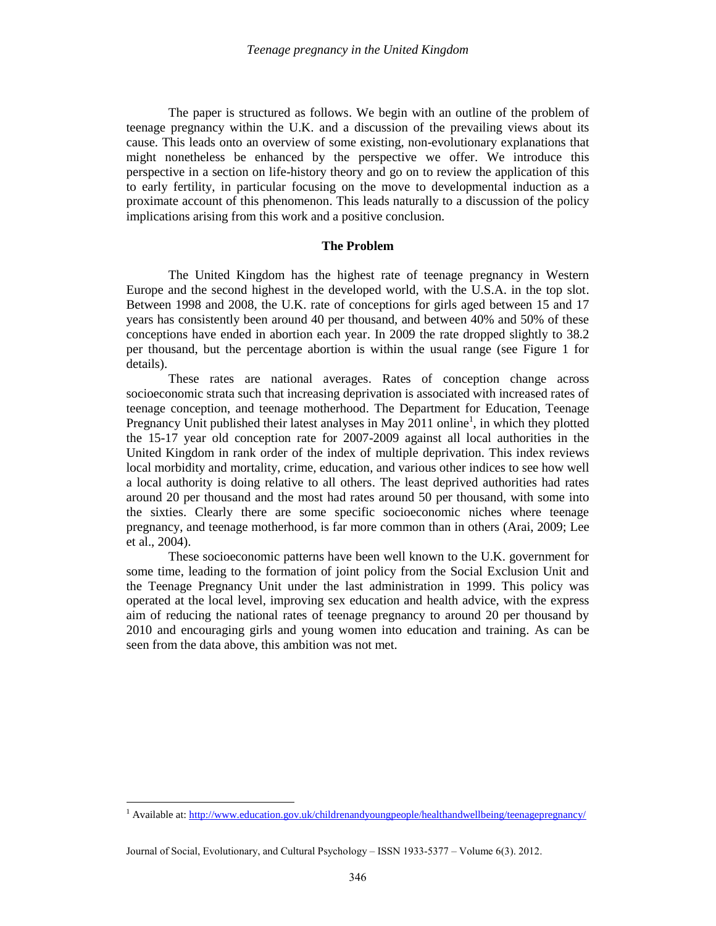The paper is structured as follows. We begin with an outline of the problem of teenage pregnancy within the U.K. and a discussion of the prevailing views about its cause. This leads onto an overview of some existing, non-evolutionary explanations that might nonetheless be enhanced by the perspective we offer. We introduce this perspective in a section on life-history theory and go on to review the application of this to early fertility, in particular focusing on the move to developmental induction as a proximate account of this phenomenon. This leads naturally to a discussion of the policy implications arising from this work and a positive conclusion.

#### **The Problem**

The United Kingdom has the highest rate of teenage pregnancy in Western Europe and the second highest in the developed world, with the U.S.A. in the top slot. Between 1998 and 2008, the U.K. rate of conceptions for girls aged between 15 and 17 years has consistently been around 40 per thousand, and between 40% and 50% of these conceptions have ended in abortion each year. In 2009 the rate dropped slightly to 38.2 per thousand, but the percentage abortion is within the usual range (see Figure 1 for details).

These rates are national averages. Rates of conception change across socioeconomic strata such that increasing deprivation is associated with increased rates of teenage conception, and teenage motherhood. The Department for Education, Teenage Pregnancy Unit published their latest analyses in May 2011 online<sup>1</sup>, in which they plotted the 15-17 year old conception rate for 2007-2009 against all local authorities in the United Kingdom in rank order of the index of multiple deprivation. This index reviews local morbidity and mortality, crime, education, and various other indices to see how well a local authority is doing relative to all others. The least deprived authorities had rates around 20 per thousand and the most had rates around 50 per thousand, with some into the sixties. Clearly there are some specific socioeconomic niches where teenage pregnancy, and teenage motherhood, is far more common than in others (Arai, 2009; Lee et al., 2004).

These socioeconomic patterns have been well known to the U.K. government for some time, leading to the formation of joint policy from the Social Exclusion Unit and the Teenage Pregnancy Unit under the last administration in 1999. This policy was operated at the local level, improving sex education and health advice, with the express aim of reducing the national rates of teenage pregnancy to around 20 per thousand by 2010 and encouraging girls and young women into education and training. As can be seen from the data above, this ambition was not met.

 $\overline{a}$ 

<sup>&</sup>lt;sup>1</sup> Available at[: http://www.education.gov.uk/childrenandyoungpeople/healthandwellbeing/teenagepregnancy/](http://www.education.gov.uk/childrenandyoungpeople/healthandwellbeing/teenagepregnancy/)

Journal of Social, Evolutionary, and Cultural Psychology – ISSN 1933-5377 – Volume 6(3). 2012.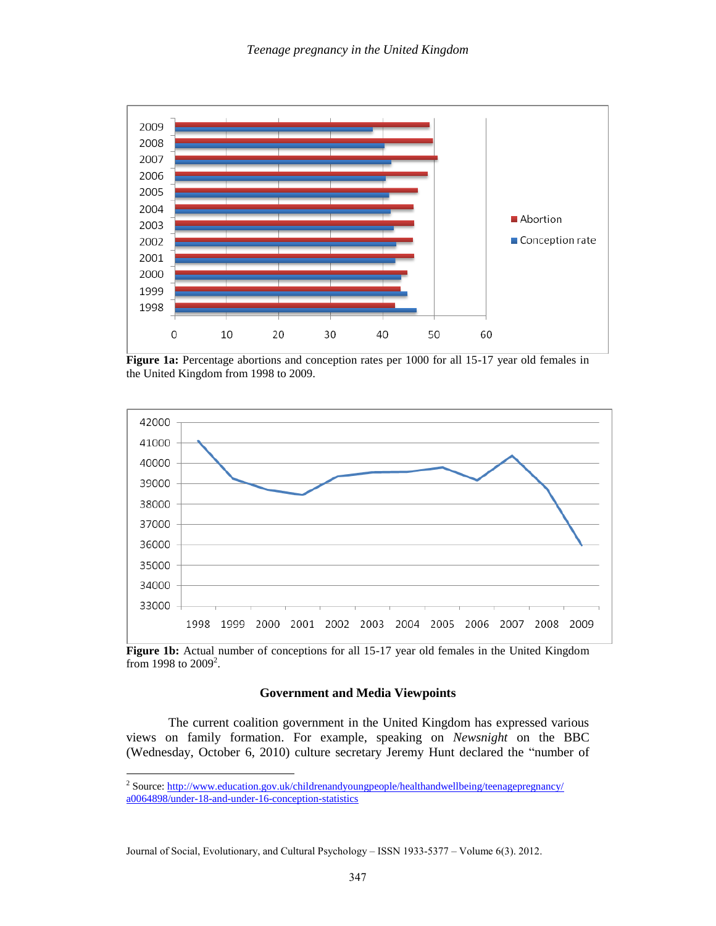

**Figure 1a:** Percentage abortions and conception rates per 1000 for all 15-17 year old females in the United Kingdom from 1998 to 2009.



Figure 1b: Actual number of conceptions for all 15-17 year old females in the United Kingdom from 1998 to  $2009^2$ .

## **Government and Media Viewpoints**

The current coalition government in the United Kingdom has expressed various views on family formation. For example, speaking on *Newsnight* on the BBC (Wednesday, October 6, 2010) culture secretary Jeremy Hunt declared the "number of

 $\overline{a}$ 

<sup>&</sup>lt;sup>2</sup> Source: [http://www.education.gov.uk/childrenandyoungpeople/healthandwellbeing/teenagepregnancy/](http://www.education.gov.uk/childrenandyoungpeople/healthandwellbeing/teenagepregnancy/a0064898/under-18-and-under-16-conception-statistics) [a0064898/under-18-and-under-16-conception-statistics](http://www.education.gov.uk/childrenandyoungpeople/healthandwellbeing/teenagepregnancy/a0064898/under-18-and-under-16-conception-statistics)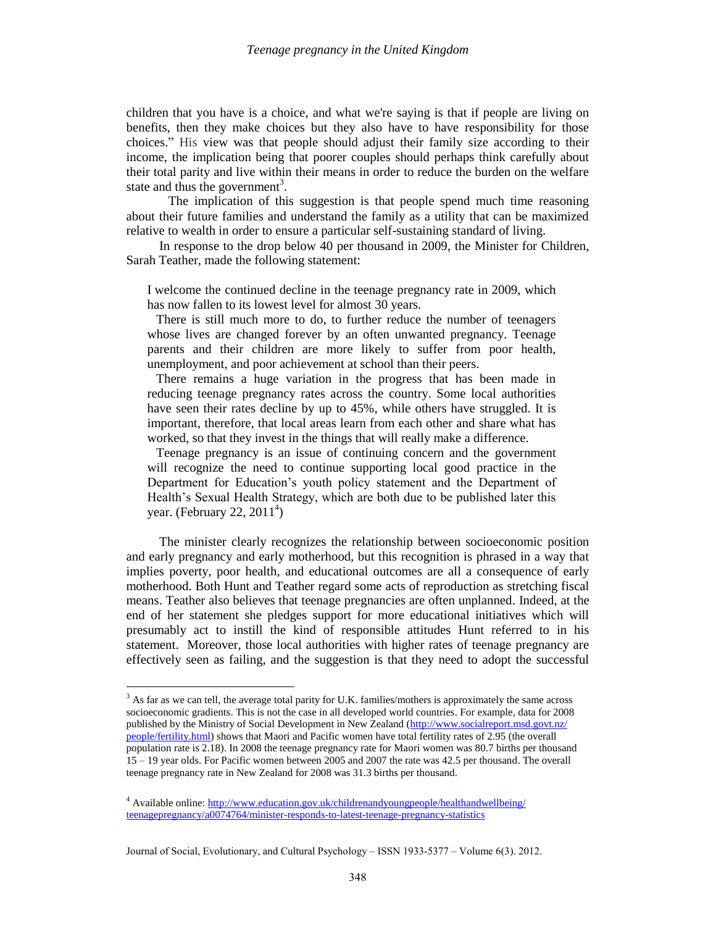children that you have is a choice, and what we're saying is that if people are living on benefits, then they make choices but they also have to have responsibility for those choices." His view was that people should adjust their family size according to their income, the implication being that poorer couples should perhaps think carefully about their total parity and live within their means in order to reduce the burden on the welfare state and thus the government<sup>3</sup>.

The implication of this suggestion is that people spend much time reasoning about their future families and understand the family as a utility that can be maximized relative to wealth in order to ensure a particular self-sustaining standard of living.

In response to the drop below 40 per thousand in 2009, the Minister for Children, Sarah Teather, made the following statement:

I welcome the continued decline in the teenage pregnancy rate in 2009, which has now fallen to its lowest level for almost 30 years.

There is still much more to do, to further reduce the number of teenagers whose lives are changed forever by an often unwanted pregnancy. Teenage parents and their children are more likely to suffer from poor health, unemployment, and poor achievement at school than their peers.

There remains a huge variation in the progress that has been made in reducing teenage pregnancy rates across the country. Some local authorities have seen their rates decline by up to 45%, while others have struggled. It is important, therefore, that local areas learn from each other and share what has worked, so that they invest in the things that will really make a difference.

Teenage pregnancy is an issue of continuing concern and the government will recognize the need to continue supporting local good practice in the Department for Education's youth policy statement and the Department of Health's Sexual Health Strategy, which are both due to be published later this year. (February 22,  $2011<sup>4</sup>$ )

The minister clearly recognizes the relationship between socioeconomic position and early pregnancy and early motherhood, but this recognition is phrased in a way that implies poverty, poor health, and educational outcomes are all a consequence of early motherhood. Both Hunt and Teather regard some acts of reproduction as stretching fiscal means. Teather also believes that teenage pregnancies are often unplanned. Indeed, at the end of her statement she pledges support for more educational initiatives which will presumably act to instill the kind of responsible attitudes Hunt referred to in his statement. Moreover, those local authorities with higher rates of teenage pregnancy are effectively seen as failing, and the suggestion is that they need to adopt the successful

 $\overline{a}$ 

 $3$  As far as we can tell, the average total parity for U.K. families/mothers is approximately the same across socioeconomic gradients. This is not the case in all developed world countries. For example, data for 2008 published by the Ministry of Social Development in New Zealand [\(http://www.socialreport.msd.govt.nz/](http://www.socialreport.msd.govt.nz/people/fertility.html) [people/fertility.html\)](http://www.socialreport.msd.govt.nz/people/fertility.html) shows that Maori and Pacific women have total fertility rates of 2.95 (the overall population rate is 2.18). In 2008 the teenage pregnancy rate for Maori women was 80.7 births per thousand 15 – 19 year olds. For Pacific women between 2005 and 2007 the rate was 42.5 per thousand. The overall teenage pregnancy rate in New Zealand for 2008 was 31.3 births per thousand.

<sup>&</sup>lt;sup>4</sup> Available online[: http://www.education.gov.uk/childrenandyoungpeople/healthandwellbeing/](http://www.education.gov.uk/childrenandyoungpeople/healthandwellbeing/teenagepregnancy/a0074764/minister-responds-to-latest-teenage-pregnancy-statistics) [teenagepregnancy/a0074764/minister-responds-to-latest-teenage-pregnancy-statistics](http://www.education.gov.uk/childrenandyoungpeople/healthandwellbeing/teenagepregnancy/a0074764/minister-responds-to-latest-teenage-pregnancy-statistics)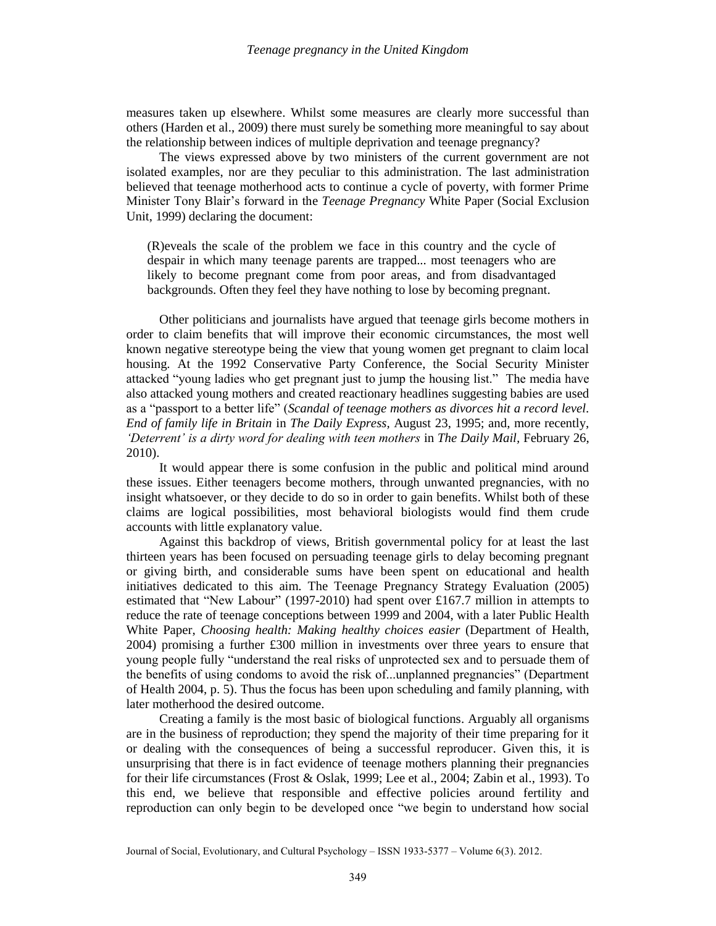measures taken up elsewhere. Whilst some measures are clearly more successful than others (Harden et al., 2009) there must surely be something more meaningful to say about the relationship between indices of multiple deprivation and teenage pregnancy?

The views expressed above by two ministers of the current government are not isolated examples, nor are they peculiar to this administration. The last administration believed that teenage motherhood acts to continue a cycle of poverty, with former Prime Minister Tony Blair's forward in the *Teenage Pregnancy* White Paper (Social Exclusion Unit, 1999) declaring the document:

(R)eveals the scale of the problem we face in this country and the cycle of despair in which many teenage parents are trapped... most teenagers who are likely to become pregnant come from poor areas, and from disadvantaged backgrounds. Often they feel they have nothing to lose by becoming pregnant.

Other politicians and journalists have argued that teenage girls become mothers in order to claim benefits that will improve their economic circumstances, the most well known negative stereotype being the view that young women get pregnant to claim local housing. At the 1992 Conservative Party Conference, the Social Security Minister attacked "young ladies who get pregnant just to jump the housing list." The media have also attacked young mothers and created reactionary headlines suggesting babies are used as a "passport to a better life" (*Scandal of teenage mothers as divorces hit a record level. End of family life in Britain* in *The Daily Express,* August 23, 1995; and, more recently, *'Deterrent' is a dirty word for dealing with teen mothers* in *The Daily Mail,* February 26, 2010).

It would appear there is some confusion in the public and political mind around these issues. Either teenagers become mothers, through unwanted pregnancies, with no insight whatsoever, or they decide to do so in order to gain benefits. Whilst both of these claims are logical possibilities, most behavioral biologists would find them crude accounts with little explanatory value.

Against this backdrop of views, British governmental policy for at least the last thirteen years has been focused on persuading teenage girls to delay becoming pregnant or giving birth, and considerable sums have been spent on educational and health initiatives dedicated to this aim. The Teenage Pregnancy Strategy Evaluation (2005) estimated that "New Labour" (1997-2010) had spent over £167.7 million in attempts to reduce the rate of teenage conceptions between 1999 and 2004, with a later Public Health White Paper, *Choosing health: Making healthy choices easier* (Department of Health, 2004) promising a further £300 million in investments over three years to ensure that young people fully "understand the real risks of unprotected sex and to persuade them of the benefits of using condoms to avoid the risk of...unplanned pregnancies" (Department of Health 2004, p. 5). Thus the focus has been upon scheduling and family planning, with later motherhood the desired outcome.

Creating a family is the most basic of biological functions. Arguably all organisms are in the business of reproduction; they spend the majority of their time preparing for it or dealing with the consequences of being a successful reproducer. Given this, it is unsurprising that there is in fact evidence of teenage mothers planning their pregnancies for their life circumstances (Frost & Oslak, 1999; Lee et al., 2004; Zabin et al., 1993). To this end, we believe that responsible and effective policies around fertility and reproduction can only begin to be developed once "we begin to understand how social

Journal of Social, Evolutionary, and Cultural Psychology – ISSN 1933-5377 – Volume 6(3). 2012.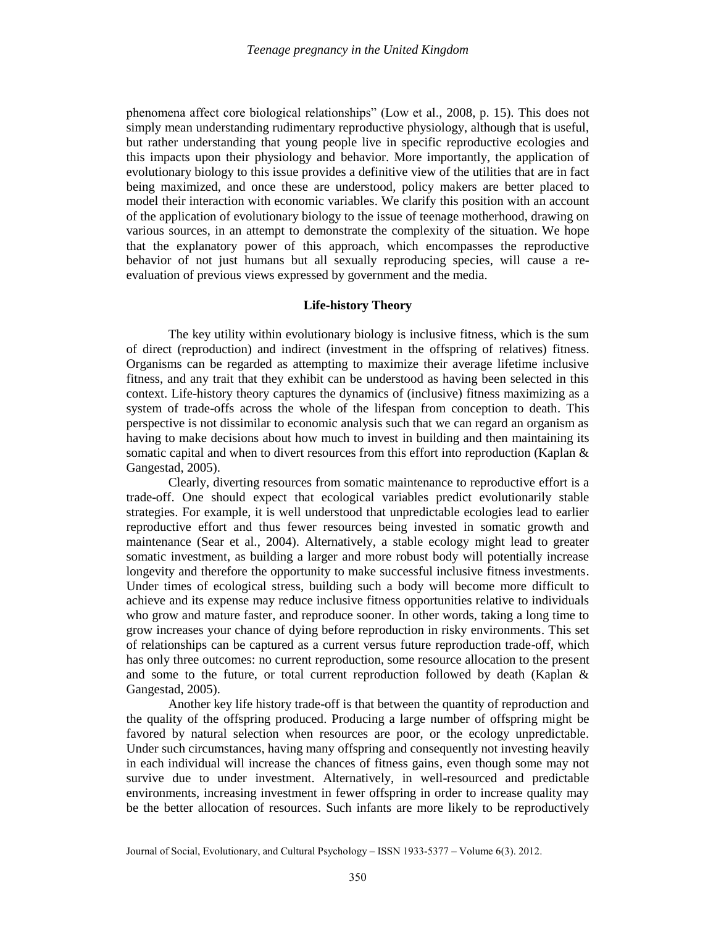phenomena affect core biological relationships" (Low et al., 2008, p. 15). This does not simply mean understanding rudimentary reproductive physiology, although that is useful, but rather understanding that young people live in specific reproductive ecologies and this impacts upon their physiology and behavior. More importantly, the application of evolutionary biology to this issue provides a definitive view of the utilities that are in fact being maximized, and once these are understood, policy makers are better placed to model their interaction with economic variables. We clarify this position with an account of the application of evolutionary biology to the issue of teenage motherhood, drawing on various sources, in an attempt to demonstrate the complexity of the situation. We hope that the explanatory power of this approach, which encompasses the reproductive behavior of not just humans but all sexually reproducing species, will cause a reevaluation of previous views expressed by government and the media.

# **Life-history Theory**

The key utility within evolutionary biology is inclusive fitness, which is the sum of direct (reproduction) and indirect (investment in the offspring of relatives) fitness. Organisms can be regarded as attempting to maximize their average lifetime inclusive fitness, and any trait that they exhibit can be understood as having been selected in this context. Life-history theory captures the dynamics of (inclusive) fitness maximizing as a system of trade-offs across the whole of the lifespan from conception to death. This perspective is not dissimilar to economic analysis such that we can regard an organism as having to make decisions about how much to invest in building and then maintaining its somatic capital and when to divert resources from this effort into reproduction (Kaplan & Gangestad, 2005).

Clearly, diverting resources from somatic maintenance to reproductive effort is a trade-off. One should expect that ecological variables predict evolutionarily stable strategies. For example, it is well understood that unpredictable ecologies lead to earlier reproductive effort and thus fewer resources being invested in somatic growth and maintenance (Sear et al., 2004). Alternatively, a stable ecology might lead to greater somatic investment, as building a larger and more robust body will potentially increase longevity and therefore the opportunity to make successful inclusive fitness investments. Under times of ecological stress, building such a body will become more difficult to achieve and its expense may reduce inclusive fitness opportunities relative to individuals who grow and mature faster, and reproduce sooner. In other words, taking a long time to grow increases your chance of dying before reproduction in risky environments. This set of relationships can be captured as a current versus future reproduction trade-off, which has only three outcomes: no current reproduction, some resource allocation to the present and some to the future, or total current reproduction followed by death (Kaplan & Gangestad, 2005).

Another key life history trade-off is that between the quantity of reproduction and the quality of the offspring produced. Producing a large number of offspring might be favored by natural selection when resources are poor, or the ecology unpredictable. Under such circumstances, having many offspring and consequently not investing heavily in each individual will increase the chances of fitness gains, even though some may not survive due to under investment. Alternatively, in well-resourced and predictable environments, increasing investment in fewer offspring in order to increase quality may be the better allocation of resources. Such infants are more likely to be reproductively

Journal of Social, Evolutionary, and Cultural Psychology – ISSN 1933-5377 – Volume 6(3). 2012.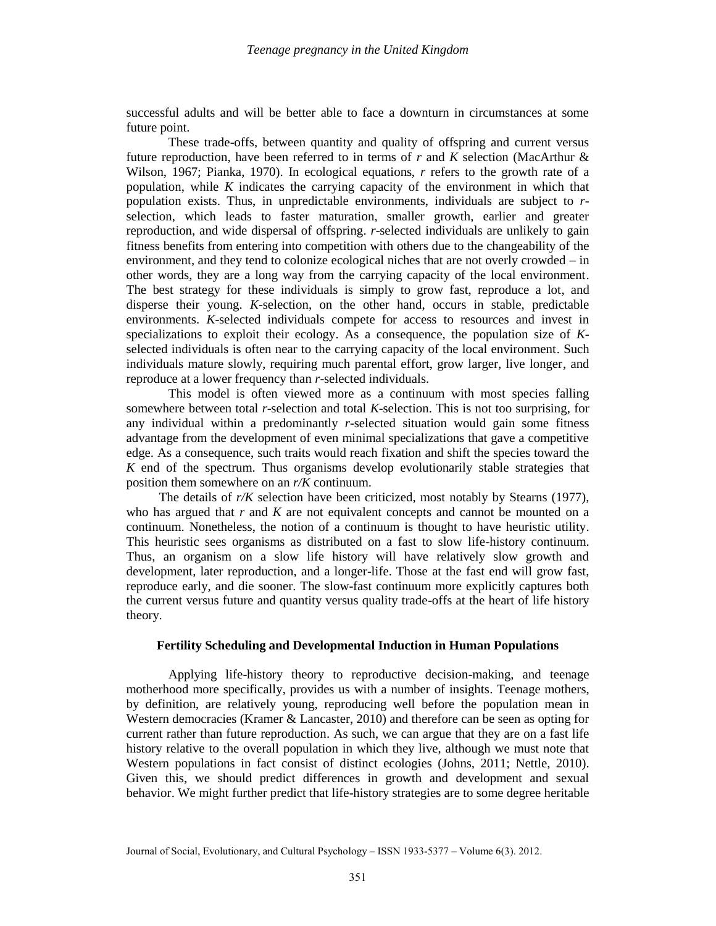successful adults and will be better able to face a downturn in circumstances at some future point.

These trade-offs, between quantity and quality of offspring and current versus future reproduction, have been referred to in terms of *r* and *K* selection (MacArthur & Wilson, 1967; Pianka, 1970). In ecological equations, *r* refers to the growth rate of a population, while *K* indicates the carrying capacity of the environment in which that population exists. Thus, in unpredictable environments, individuals are subject to *r*selection, which leads to faster maturation, smaller growth, earlier and greater reproduction, and wide dispersal of offspring. *r*-selected individuals are unlikely to gain fitness benefits from entering into competition with others due to the changeability of the environment, and they tend to colonize ecological niches that are not overly crowded – in other words, they are a long way from the carrying capacity of the local environment. The best strategy for these individuals is simply to grow fast, reproduce a lot, and disperse their young. *K*-selection, on the other hand, occurs in stable, predictable environments. *K*-selected individuals compete for access to resources and invest in specializations to exploit their ecology. As a consequence, the population size of *K*selected individuals is often near to the carrying capacity of the local environment. Such individuals mature slowly, requiring much parental effort, grow larger, live longer, and reproduce at a lower frequency than *r*-selected individuals.

This model is often viewed more as a continuum with most species falling somewhere between total *r*-selection and total *K*-selection. This is not too surprising, for any individual within a predominantly *r*-selected situation would gain some fitness advantage from the development of even minimal specializations that gave a competitive edge. As a consequence, such traits would reach fixation and shift the species toward the *K* end of the spectrum. Thus organisms develop evolutionarily stable strategies that position them somewhere on an *r/K* continuum.

The details of *r/K* selection have been criticized, most notably by Stearns (1977), who has argued that *r* and *K* are not equivalent concepts and cannot be mounted on a continuum. Nonetheless, the notion of a continuum is thought to have heuristic utility. This heuristic sees organisms as distributed on a fast to slow life-history continuum. Thus, an organism on a slow life history will have relatively slow growth and development, later reproduction, and a longer-life. Those at the fast end will grow fast, reproduce early, and die sooner. The slow-fast continuum more explicitly captures both the current versus future and quantity versus quality trade-offs at the heart of life history theory.

#### **Fertility Scheduling and Developmental Induction in Human Populations**

Applying life-history theory to reproductive decision-making, and teenage motherhood more specifically, provides us with a number of insights. Teenage mothers, by definition, are relatively young, reproducing well before the population mean in Western democracies (Kramer & Lancaster, 2010) and therefore can be seen as opting for current rather than future reproduction. As such, we can argue that they are on a fast life history relative to the overall population in which they live, although we must note that Western populations in fact consist of distinct ecologies (Johns, 2011; Nettle, 2010). Given this, we should predict differences in growth and development and sexual behavior. We might further predict that life-history strategies are to some degree heritable

Journal of Social, Evolutionary, and Cultural Psychology – ISSN 1933-5377 – Volume 6(3). 2012.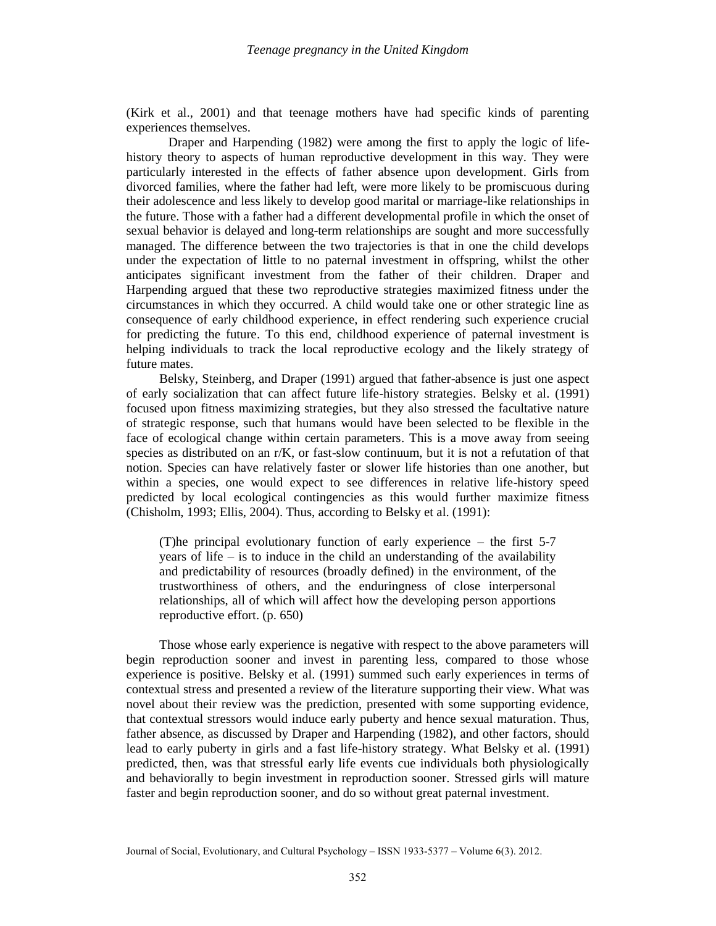(Kirk et al., 2001) and that teenage mothers have had specific kinds of parenting experiences themselves.

Draper and Harpending (1982) were among the first to apply the logic of lifehistory theory to aspects of human reproductive development in this way. They were particularly interested in the effects of father absence upon development. Girls from divorced families, where the father had left, were more likely to be promiscuous during their adolescence and less likely to develop good marital or marriage-like relationships in the future. Those with a father had a different developmental profile in which the onset of sexual behavior is delayed and long-term relationships are sought and more successfully managed. The difference between the two trajectories is that in one the child develops under the expectation of little to no paternal investment in offspring, whilst the other anticipates significant investment from the father of their children. Draper and Harpending argued that these two reproductive strategies maximized fitness under the circumstances in which they occurred. A child would take one or other strategic line as consequence of early childhood experience, in effect rendering such experience crucial for predicting the future. To this end, childhood experience of paternal investment is helping individuals to track the local reproductive ecology and the likely strategy of future mates.

Belsky, Steinberg, and Draper (1991) argued that father-absence is just one aspect of early socialization that can affect future life-history strategies. Belsky et al. (1991) focused upon fitness maximizing strategies, but they also stressed the facultative nature of strategic response, such that humans would have been selected to be flexible in the face of ecological change within certain parameters. This is a move away from seeing species as distributed on an r/K, or fast-slow continuum, but it is not a refutation of that notion. Species can have relatively faster or slower life histories than one another, but within a species, one would expect to see differences in relative life-history speed predicted by local ecological contingencies as this would further maximize fitness (Chisholm, 1993; Ellis, 2004). Thus, according to Belsky et al. (1991):

(T)he principal evolutionary function of early experience – the first 5-7 years of life – is to induce in the child an understanding of the availability and predictability of resources (broadly defined) in the environment, of the trustworthiness of others, and the enduringness of close interpersonal relationships, all of which will affect how the developing person apportions reproductive effort. (p. 650)

Those whose early experience is negative with respect to the above parameters will begin reproduction sooner and invest in parenting less, compared to those whose experience is positive. Belsky et al. (1991) summed such early experiences in terms of contextual stress and presented a review of the literature supporting their view. What was novel about their review was the prediction, presented with some supporting evidence, that contextual stressors would induce early puberty and hence sexual maturation. Thus, father absence, as discussed by Draper and Harpending (1982), and other factors, should lead to early puberty in girls and a fast life-history strategy. What Belsky et al. (1991) predicted, then, was that stressful early life events cue individuals both physiologically and behaviorally to begin investment in reproduction sooner. Stressed girls will mature faster and begin reproduction sooner, and do so without great paternal investment.

Journal of Social, Evolutionary, and Cultural Psychology – ISSN 1933-5377 – Volume 6(3). 2012.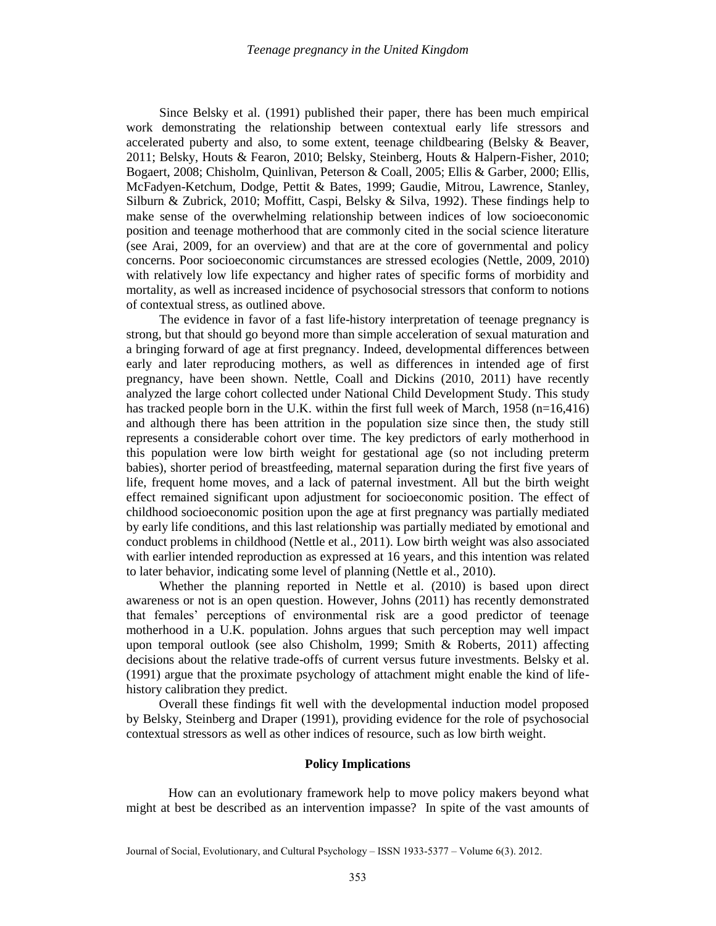Since Belsky et al. (1991) published their paper, there has been much empirical work demonstrating the relationship between contextual early life stressors and accelerated puberty and also, to some extent, teenage childbearing (Belsky & Beaver, 2011; Belsky, Houts & Fearon, 2010; Belsky, Steinberg, Houts & Halpern-Fisher, 2010; Bogaert, 2008; Chisholm, Quinlivan, Peterson & Coall, 2005; Ellis & Garber, 2000; Ellis, McFadyen-Ketchum, Dodge, Pettit & Bates, 1999; Gaudie, Mitrou, Lawrence, Stanley, Silburn & Zubrick, 2010; Moffitt, Caspi, Belsky & Silva, 1992). These findings help to make sense of the overwhelming relationship between indices of low socioeconomic position and teenage motherhood that are commonly cited in the social science literature (see Arai, 2009, for an overview) and that are at the core of governmental and policy concerns. Poor socioeconomic circumstances are stressed ecologies (Nettle, 2009, 2010) with relatively low life expectancy and higher rates of specific forms of morbidity and mortality, as well as increased incidence of psychosocial stressors that conform to notions of contextual stress, as outlined above.

The evidence in favor of a fast life-history interpretation of teenage pregnancy is strong, but that should go beyond more than simple acceleration of sexual maturation and a bringing forward of age at first pregnancy. Indeed, developmental differences between early and later reproducing mothers, as well as differences in intended age of first pregnancy, have been shown. Nettle, Coall and Dickins (2010, 2011) have recently analyzed the large cohort collected under National Child Development Study. This study has tracked people born in the U.K. within the first full week of March,  $1958$  (n=16,416) and although there has been attrition in the population size since then, the study still represents a considerable cohort over time. The key predictors of early motherhood in this population were low birth weight for gestational age (so not including preterm babies), shorter period of breastfeeding, maternal separation during the first five years of life, frequent home moves, and a lack of paternal investment. All but the birth weight effect remained significant upon adjustment for socioeconomic position. The effect of childhood socioeconomic position upon the age at first pregnancy was partially mediated by early life conditions, and this last relationship was partially mediated by emotional and conduct problems in childhood (Nettle et al., 2011). Low birth weight was also associated with earlier intended reproduction as expressed at 16 years, and this intention was related to later behavior, indicating some level of planning (Nettle et al., 2010).

Whether the planning reported in Nettle et al. (2010) is based upon direct awareness or not is an open question. However, Johns (2011) has recently demonstrated that females' perceptions of environmental risk are a good predictor of teenage motherhood in a U.K. population. Johns argues that such perception may well impact upon temporal outlook (see also Chisholm, 1999; Smith & Roberts, 2011) affecting decisions about the relative trade-offs of current versus future investments. Belsky et al. (1991) argue that the proximate psychology of attachment might enable the kind of lifehistory calibration they predict.

Overall these findings fit well with the developmental induction model proposed by Belsky, Steinberg and Draper (1991), providing evidence for the role of psychosocial contextual stressors as well as other indices of resource, such as low birth weight.

#### **Policy Implications**

How can an evolutionary framework help to move policy makers beyond what might at best be described as an intervention impasse? In spite of the vast amounts of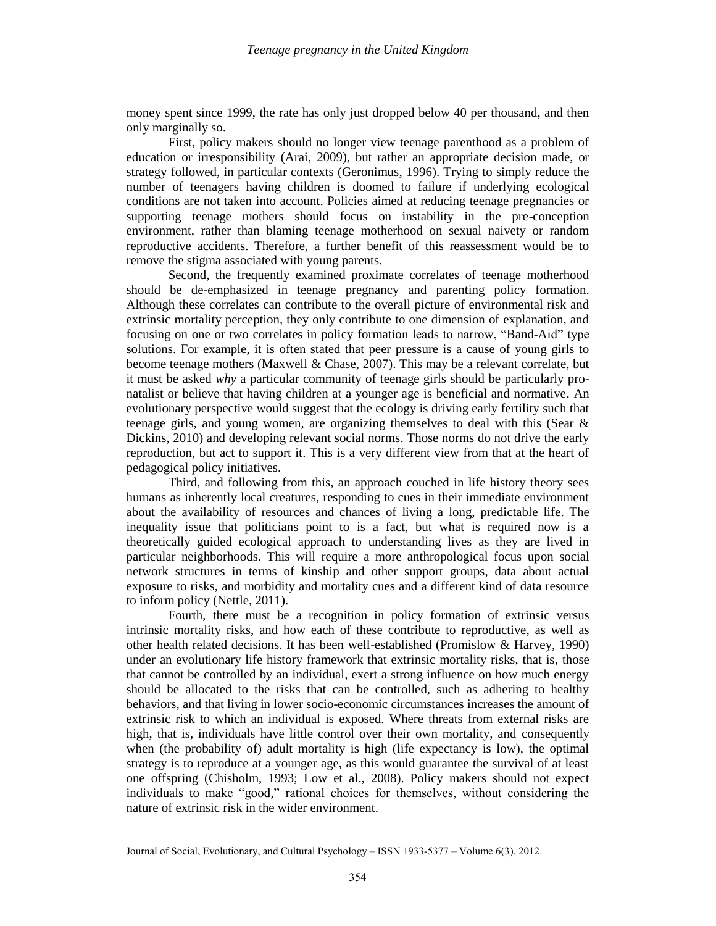money spent since 1999, the rate has only just dropped below 40 per thousand, and then only marginally so.

First, policy makers should no longer view teenage parenthood as a problem of education or irresponsibility (Arai, 2009), but rather an appropriate decision made, or strategy followed, in particular contexts (Geronimus, 1996). Trying to simply reduce the number of teenagers having children is doomed to failure if underlying ecological conditions are not taken into account. Policies aimed at reducing teenage pregnancies or supporting teenage mothers should focus on instability in the pre-conception environment, rather than blaming teenage motherhood on sexual naivety or random reproductive accidents. Therefore, a further benefit of this reassessment would be to remove the stigma associated with young parents.

Second, the frequently examined proximate correlates of teenage motherhood should be de-emphasized in teenage pregnancy and parenting policy formation. Although these correlates can contribute to the overall picture of environmental risk and extrinsic mortality perception, they only contribute to one dimension of explanation, and focusing on one or two correlates in policy formation leads to narrow, "Band-Aid" type solutions. For example, it is often stated that peer pressure is a cause of young girls to become teenage mothers (Maxwell & Chase, 2007). This may be a relevant correlate, but it must be asked *why* a particular community of teenage girls should be particularly pronatalist or believe that having children at a younger age is beneficial and normative. An evolutionary perspective would suggest that the ecology is driving early fertility such that teenage girls, and young women, are organizing themselves to deal with this (Sear & Dickins, 2010) and developing relevant social norms. Those norms do not drive the early reproduction, but act to support it. This is a very different view from that at the heart of pedagogical policy initiatives.

Third, and following from this, an approach couched in life history theory sees humans as inherently local creatures, responding to cues in their immediate environment about the availability of resources and chances of living a long, predictable life. The inequality issue that politicians point to is a fact, but what is required now is a theoretically guided ecological approach to understanding lives as they are lived in particular neighborhoods. This will require a more anthropological focus upon social network structures in terms of kinship and other support groups, data about actual exposure to risks, and morbidity and mortality cues and a different kind of data resource to inform policy (Nettle, 2011).

Fourth, there must be a recognition in policy formation of extrinsic versus intrinsic mortality risks, and how each of these contribute to reproductive, as well as other health related decisions. It has been well-established (Promislow & Harvey, 1990) under an evolutionary life history framework that extrinsic mortality risks, that is, those that cannot be controlled by an individual, exert a strong influence on how much energy should be allocated to the risks that can be controlled, such as adhering to healthy behaviors, and that living in lower socio-economic circumstances increases the amount of extrinsic risk to which an individual is exposed. Where threats from external risks are high, that is, individuals have little control over their own mortality, and consequently when (the probability of) adult mortality is high (life expectancy is low), the optimal strategy is to reproduce at a younger age, as this would guarantee the survival of at least one offspring (Chisholm, 1993; Low et al., 2008). Policy makers should not expect individuals to make "good," rational choices for themselves, without considering the nature of extrinsic risk in the wider environment.

Journal of Social, Evolutionary, and Cultural Psychology – ISSN 1933-5377 – Volume 6(3). 2012.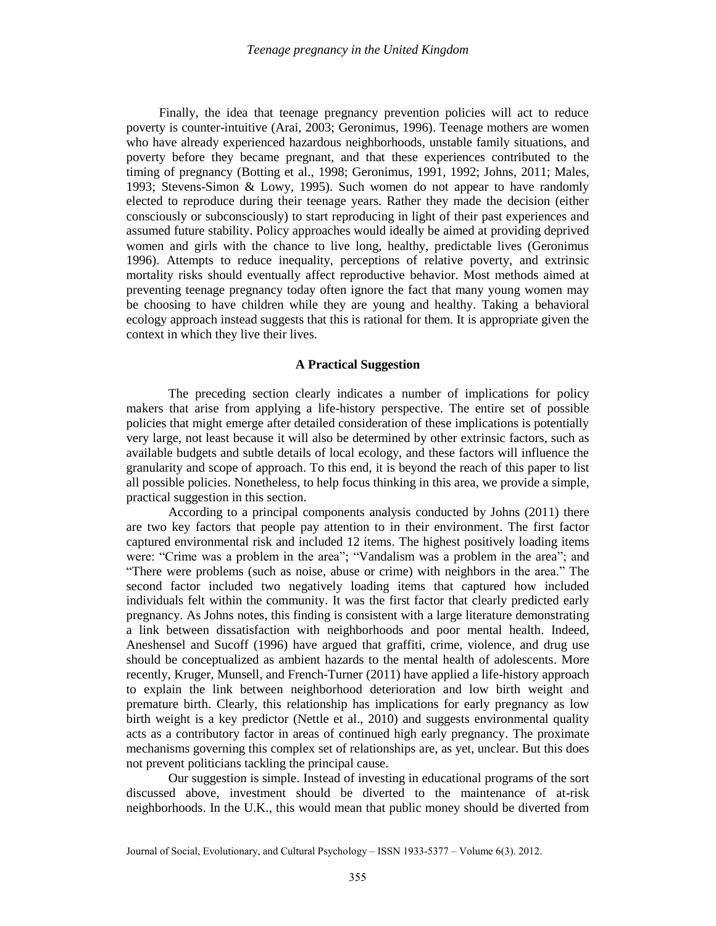Finally, the idea that teenage pregnancy prevention policies will act to reduce poverty is counter-intuitive (Arai, 2003; Geronimus, 1996). Teenage mothers are women who have already experienced hazardous neighborhoods, unstable family situations, and poverty before they became pregnant, and that these experiences contributed to the timing of pregnancy (Botting et al., 1998; Geronimus, 1991, 1992; Johns, 2011; Males, 1993; Stevens-Simon & Lowy, 1995). Such women do not appear to have randomly elected to reproduce during their teenage years. Rather they made the decision (either consciously or subconsciously) to start reproducing in light of their past experiences and assumed future stability. Policy approaches would ideally be aimed at providing deprived women and girls with the chance to live long, healthy, predictable lives (Geronimus 1996). Attempts to reduce inequality, perceptions of relative poverty, and extrinsic mortality risks should eventually affect reproductive behavior. Most methods aimed at preventing teenage pregnancy today often ignore the fact that many young women may be choosing to have children while they are young and healthy. Taking a behavioral ecology approach instead suggests that this is rational for them. It is appropriate given the context in which they live their lives.

## **A Practical Suggestion**

The preceding section clearly indicates a number of implications for policy makers that arise from applying a life-history perspective. The entire set of possible policies that might emerge after detailed consideration of these implications is potentially very large, not least because it will also be determined by other extrinsic factors, such as available budgets and subtle details of local ecology, and these factors will influence the granularity and scope of approach. To this end, it is beyond the reach of this paper to list all possible policies. Nonetheless, to help focus thinking in this area, we provide a simple, practical suggestion in this section.

According to a principal components analysis conducted by Johns (2011) there are two key factors that people pay attention to in their environment. The first factor captured environmental risk and included 12 items. The highest positively loading items were: "Crime was a problem in the area"; "Vandalism was a problem in the area"; and "There were problems (such as noise, abuse or crime) with neighbors in the area." The second factor included two negatively loading items that captured how included individuals felt within the community. It was the first factor that clearly predicted early pregnancy. As Johns notes, this finding is consistent with a large literature demonstrating a link between dissatisfaction with neighborhoods and poor mental health. Indeed, Aneshensel and Sucoff (1996) have argued that graffiti, crime, violence, and drug use should be conceptualized as ambient hazards to the mental health of adolescents. More recently, Kruger, Munsell, and French-Turner (2011) have applied a life-history approach to explain the link between neighborhood deterioration and low birth weight and premature birth. Clearly, this relationship has implications for early pregnancy as low birth weight is a key predictor (Nettle et al., 2010) and suggests environmental quality acts as a contributory factor in areas of continued high early pregnancy. The proximate mechanisms governing this complex set of relationships are, as yet, unclear. But this does not prevent politicians tackling the principal cause.

Our suggestion is simple. Instead of investing in educational programs of the sort discussed above, investment should be diverted to the maintenance of at-risk neighborhoods. In the U.K., this would mean that public money should be diverted from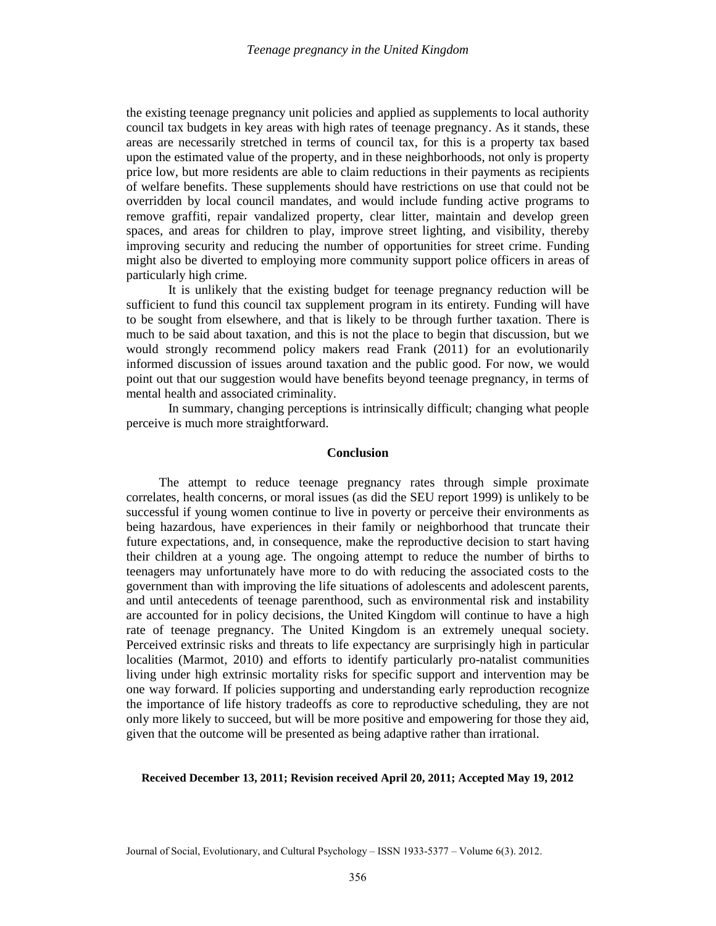the existing teenage pregnancy unit policies and applied as supplements to local authority council tax budgets in key areas with high rates of teenage pregnancy. As it stands, these areas are necessarily stretched in terms of council tax, for this is a property tax based upon the estimated value of the property, and in these neighborhoods, not only is property price low, but more residents are able to claim reductions in their payments as recipients of welfare benefits. These supplements should have restrictions on use that could not be overridden by local council mandates, and would include funding active programs to remove graffiti, repair vandalized property, clear litter, maintain and develop green spaces, and areas for children to play, improve street lighting, and visibility, thereby improving security and reducing the number of opportunities for street crime. Funding might also be diverted to employing more community support police officers in areas of particularly high crime.

It is unlikely that the existing budget for teenage pregnancy reduction will be sufficient to fund this council tax supplement program in its entirety. Funding will have to be sought from elsewhere, and that is likely to be through further taxation. There is much to be said about taxation, and this is not the place to begin that discussion, but we would strongly recommend policy makers read Frank (2011) for an evolutionarily informed discussion of issues around taxation and the public good. For now, we would point out that our suggestion would have benefits beyond teenage pregnancy, in terms of mental health and associated criminality.

In summary, changing perceptions is intrinsically difficult; changing what people perceive is much more straightforward.

### **Conclusion**

The attempt to reduce teenage pregnancy rates through simple proximate correlates, health concerns, or moral issues (as did the SEU report 1999) is unlikely to be successful if young women continue to live in poverty or perceive their environments as being hazardous, have experiences in their family or neighborhood that truncate their future expectations, and, in consequence, make the reproductive decision to start having their children at a young age. The ongoing attempt to reduce the number of births to teenagers may unfortunately have more to do with reducing the associated costs to the government than with improving the life situations of adolescents and adolescent parents, and until antecedents of teenage parenthood, such as environmental risk and instability are accounted for in policy decisions, the United Kingdom will continue to have a high rate of teenage pregnancy. The United Kingdom is an extremely unequal society. Perceived extrinsic risks and threats to life expectancy are surprisingly high in particular localities (Marmot, 2010) and efforts to identify particularly pro-natalist communities living under high extrinsic mortality risks for specific support and intervention may be one way forward. If policies supporting and understanding early reproduction recognize the importance of life history tradeoffs as core to reproductive scheduling, they are not only more likely to succeed, but will be more positive and empowering for those they aid, given that the outcome will be presented as being adaptive rather than irrational.

## **Received December 13, 2011; Revision received April 20, 2011; Accepted May 19, 2012**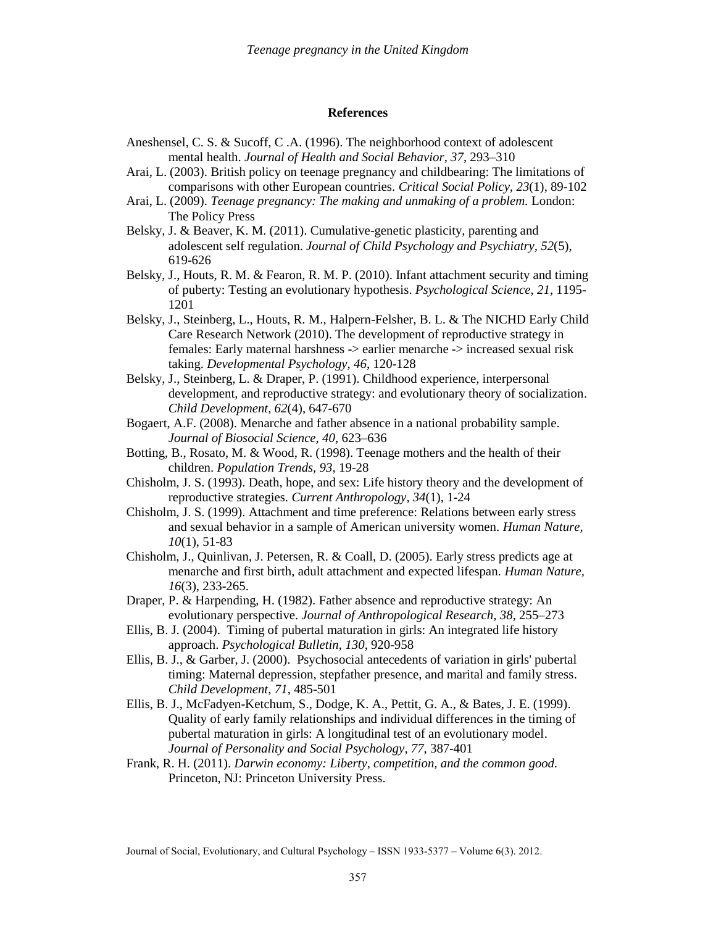#### **References**

- Aneshensel, C. S. & Sucoff, C .A. (1996). The neighborhood context of adolescent mental health. *Journal of Health and Social Behavior*, *37*, 293–310
- Arai, L. (2003). British policy on teenage pregnancy and childbearing: The limitations of comparisons with other European countries. *Critical Social Policy, 23*(1), 89-102
- Arai, L. (2009). *Teenage pregnancy: The making and unmaking of a problem.* London: The Policy Press
- Belsky, J. & Beaver, K. M. (2011). Cumulative-genetic plasticity, parenting and adolescent self regulation. *Journal of Child Psychology and Psychiatry, 52*(5), 619-626
- Belsky, J., Houts, R. M. & Fearon, R. M. P. (2010). Infant attachment security and timing of puberty: Testing an evolutionary hypothesis. *Psychological Science*, *21*, 1195- 1201
- Belsky, J., Steinberg, L., Houts, R. M., Halpern-Felsher, B. L. & The NICHD Early Child Care Research Network (2010). The development of reproductive strategy in females: Early maternal harshness -> earlier menarche -> increased sexual risk taking. *Developmental Psychology, 46*, 120-128
- Belsky, J., Steinberg, L. & Draper, P. (1991). Childhood experience, interpersonal development, and reproductive strategy: and evolutionary theory of socialization. *Child Development, 62*(4), 647-670
- Bogaert, A.F. (2008). Menarche and father absence in a national probability sample. *Journal of Biosocial Science, 40,* 623–636
- Botting, B., Rosato, M. & Wood, R. (1998). Teenage mothers and the health of their children. *Population Trends, 93*, 19-28
- Chisholm, J. S. (1993). Death, hope, and sex: Life history theory and the development of reproductive strategies. *Current Anthropology, 34*(1), 1-24
- Chisholm, J. S. (1999). Attachment and time preference: Relations between early stress and sexual behavior in a sample of American university women. *Human Nature, 10*(1), 51-83
- Chisholm, J., Quinlivan, J. Petersen, R. & Coall, D. (2005). Early stress predicts age at menarche and first birth, adult attachment and expected lifespan. *Human Nature, 16*(3), 233-265.
- Draper, P. & Harpending, H. (1982). Father absence and reproductive strategy: An evolutionary perspective. *Journal of Anthropological Research, 38*, 255–273
- Ellis, B. J. (2004). Timing of pubertal maturation in girls: An integrated life history approach. *Psychological Bulletin*, *130*, 920-958
- Ellis, B. J., & Garber, J. (2000). Psychosocial antecedents of variation in girls' pubertal timing: Maternal depression, stepfather presence, and marital and family stress. *Child Development*, *71*, 485-501
- Ellis, B. J., McFadyen-Ketchum, S., Dodge, K. A., Pettit, G. A., & Bates, J. E. (1999). Quality of early family relationships and individual differences in the timing of pubertal maturation in girls: A longitudinal test of an evolutionary model. *Journal of Personality and Social Psychology*, *77*, 387-401
- Frank, R. H. (2011). *Darwin economy: Liberty, competition, and the common good.* Princeton, NJ: Princeton University Press.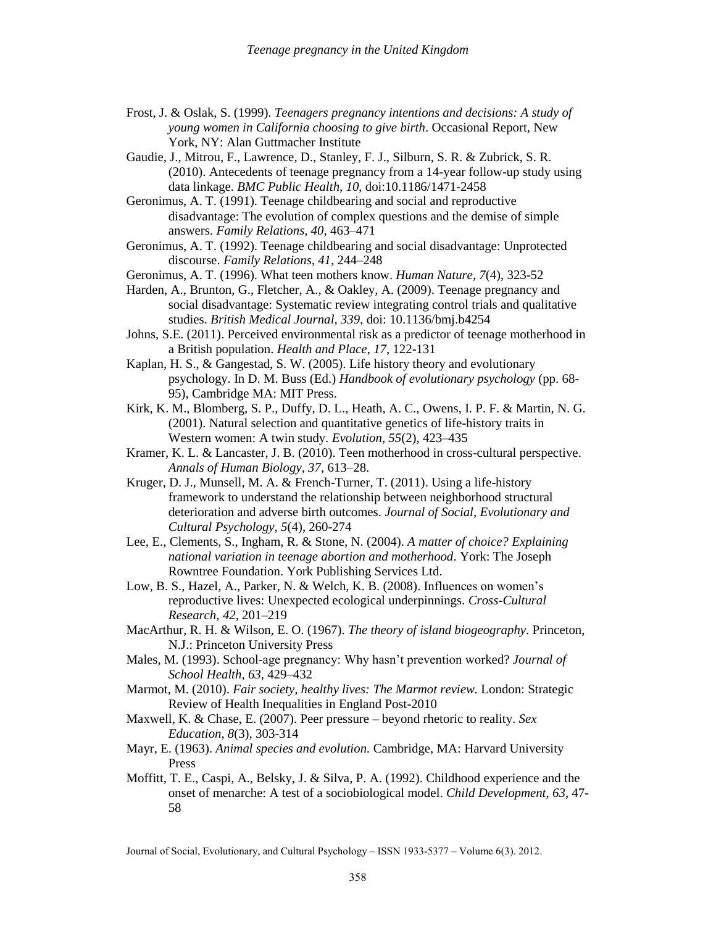- Frost, J. & Oslak, S. (1999). *Teenagers pregnancy intentions and decisions: A study of young women in California choosing to give birth*. Occasional Report, New York, NY: Alan Guttmacher Institute
- Gaudie, J., Mitrou, F., Lawrence, D., Stanley, F. J., Silburn, S. R. & Zubrick, S. R. (2010). Antecedents of teenage pregnancy from a 14-year follow-up study using data linkage. *BMC Public Health*, *10*, doi:10.1186/1471-2458
- Geronimus, A. T. (1991). Teenage childbearing and social and reproductive disadvantage: The evolution of complex questions and the demise of simple answers. *Family Relations, 40*, 463–471
- Geronimus, A. T. (1992). Teenage childbearing and social disadvantage: Unprotected discourse. *Family Relations, 41,* 244–248
- Geronimus, A. T. (1996). What teen mothers know. *Human Nature*, *7*(4), 323-52
- Harden, A., Brunton, G., Fletcher, A., & Oakley, A. (2009). Teenage pregnancy and social disadvantage: Systematic review integrating control trials and qualitative studies. *British Medical Journal, 339*, doi: 10.1136/bmj.b4254
- Johns, S.E. (2011). Perceived environmental risk as a predictor of teenage motherhood in a British population. *Health and Place*, *17*, 122-131
- Kaplan*,* H. S., & Gangestad*,* S. W. (2005). Life history theory and evolutionary psychology. In D. M. Buss (Ed.) *Handbook of evolutionary psychology* (pp. 68- 95), Cambridge MA: MIT Press.
- Kirk, K. M., Blomberg, S. P., Duffy, D. L., Heath, A. C., Owens, I. P. F. & Martin, N. G. (2001). Natural selection and quantitative genetics of life-history traits in Western women: A twin study. *Evolution, 55*(2), 423–435
- Kramer, K. L. & Lancaster, J. B. (2010). Teen motherhood in cross-cultural perspective. *Annals of Human Biology, 37*, 613–28.
- Kruger, D. J., Munsell, M. A. & French-Turner, T. (2011). Using a life-history framework to understand the relationship between neighborhood structural deterioration and adverse birth outcomes. *Journal of Social, Evolutionary and Cultural Psychology, 5*(4), 260-274
- Lee, E., Clements, S., Ingham, R. & Stone, N. (2004). *A matter of choice? Explaining national variation in teenage abortion and motherhood*. York: The Joseph Rowntree Foundation. York Publishing Services Ltd.
- Low, B. S., Hazel, A., Parker, N. & Welch, K. B. (2008). Influences on women's reproductive lives: Unexpected ecological underpinnings. *Cross-Cultural Research, 42*, 201–219
- MacArthur, R. H. & Wilson, E. O. (1967). *The theory of island biogeography*. Princeton, N.J.: Princeton University Press
- Males, M. (1993). School-age pregnancy: Why hasn't prevention worked? *Journal of School Health, 63*, 429–432
- Marmot, M. (2010). *Fair society, healthy lives: The Marmot review.* London: Strategic Review of Health Inequalities in England Post-2010
- Maxwell, K. & Chase, E. (2007). Peer pressure beyond rhetoric to reality. *Sex Education, 8*(3), 303-314
- Mayr, E. (1963). *Animal species and evolution.* Cambridge, MA: Harvard University Press
- Moffitt, T. E., Caspi, A., Belsky, J. & Silva, P. A. (1992). Childhood experience and the onset of menarche: A test of a sociobiological model. *Child Development, 63*, 47- 58